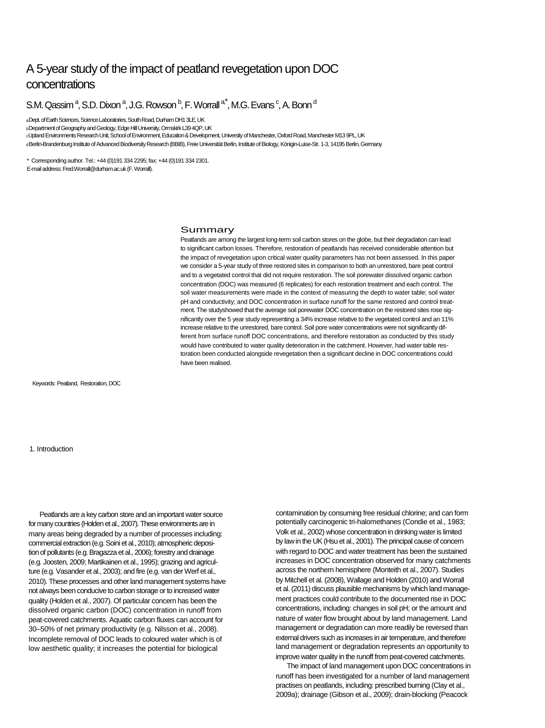# A 5-year study of the impact of peatland revegetation upon DOC concentrations

S.M. Qassim <sup>a</sup>, S.D. Dixon <sup>a</sup>, J.G. Rowson <sup>b</sup>, F. Worrall <sup>a\*</sup>, M.G. Evans <sup>c</sup>, A. Bonn <sup>d</sup>

a Dept. of Earth Sciences, Science Laboratories, South Road, Durham DH1 3LE, UK

b Department of Geography and Geology, Edge Hill University, Ormskirk L39 4QP, UK

c Upland Environments Research Unit, School of Environment, Education & Development, University of Manchester, Oxford Road, Manchester M13 9PL, UK d Berlin-Brandenburg Institute of Advanced Biodiversity Research (BBIB), Freie Universität Berlin, Institute of Biology, Königin-Luise-Str. 1-3, 14195 Berlin, Germany

\* Corresponding author. Tel.: +44 (0)191 334 2295; fax: +44 (0)191 334 2301. E-mail address: Fred.Worrall@durham.ac.uk (F. Worrall).

### Summary

Peatlands are among the largest long-term soil carbon stores on the globe, but their degradation can lead to significant carbon losses. Therefore, restoration of peatlands has received considerable attention but the impact of revegetation upon critical water quality parameters has not been assessed. In this paper we consider a 5-year study of three restored sites in comparison to both an unrestored, bare peat control and to a vegetated control that did not require restoration. The soil porewater dissolved organic carbon concentration (DOC) was measured (6 replicates) for each restoration treatment and each control. The soil water measurements were made in the context of measuring the depth to water table; soil water pH and conductivity; and DOC concentration in surface runoff for the same restored and control treatment. The studyshowed that the average soil porewater DOC concentration on the restored sites rose significantly over the 5 year study representing a 34% increase relative to the vegetated control and an 11% increase relative to the unrestored, bare control. Soil pore water concentrations were not significantly different from surface runoff DOC concentrations, and therefore restoration as conducted by this study would have contributed to water quality deterioration in the catchment. However, had water table restoration been conducted alongside revegetation then a significant decline in DOC concentrations could have been realised.

Keywords: Peatland, Restoration, DOC

1. Introduction

Peatlands are a key carbon store and an important water source for many countries (Holden et al., 2007). These environments are in many areas being degraded by a number of processes including: commercial extraction (e.g. Soini et al., 2010); atmospheric deposition of pollutants (e.g. Bragazza et al., 2006); forestry and drainage (e.g. Joosten, 2009; Martikainen et al., 1995); grazing and agriculture (e.g. Vasander et al., 2003); and fire (e.g. van der Werf et al., 2010). These processes and other land management systems have not always been conducive to carbon storage or to increased water quality (Holden et al., 2007). Of particular concern has been the dissolved organic carbon (DOC) concentration in runoff from peat-covered catchments. Aquatic carbon fluxes can account for 30–50% of net primary productivity (e.g. Nilsson et al., 2008). Incomplete removal of DOC leads to coloured water which is of low aesthetic quality; it increases the potential for biological

contamination by consuming free residual chlorine; and can form potentially carcinogenic tri-halomethanes (Condie et al., 1983; Volk et al., 2002) whose concentration in drinking water is limited by law in the UK (Hsu et al., 2001). The principal cause of concern with regard to DOC and water treatment has been the sustained increases in DOC concentration observed for many catchments across the northern hemisphere (Monteith et al., 2007). Studies by Mitchell et al. (2008), Wallage and Holden (2010) and Worrall et al. (2011) discuss plausible mechanisms by which land management practices could contribute to the documented rise in DOC concentrations, including: changes in soil pH; or the amount and nature of water flow brought about by land management. Land management or degradation can more readily be reversed than external drivers such as increases in air temperature, and therefore land management or degradation represents an opportunity to improve water quality in the runoff from peat-covered catchments.

The impact of land management upon DOC concentrations in runoff has been investigated for a number of land management practises on peatlands, including: prescribed burning (Clay et al., 2009a); drainage (Gibson et al., 2009); drain-blocking (Peacock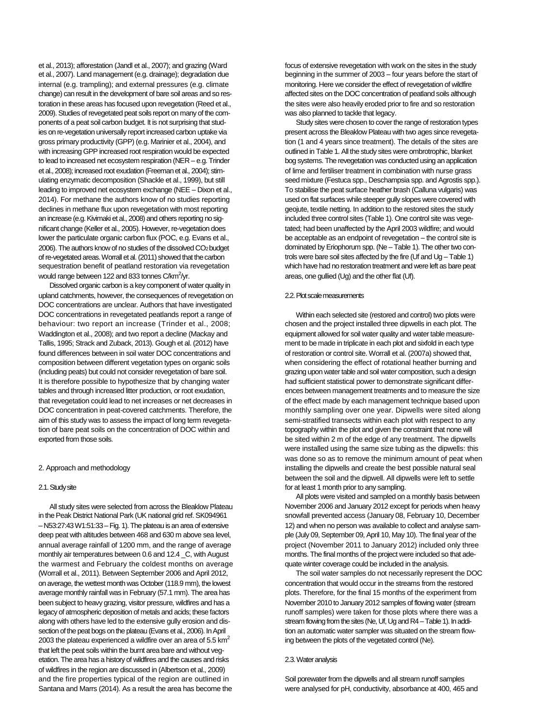et al., 2013); afforestation (Jandl et al., 2007); and grazing (Ward et al., 2007). Land management (e.g. drainage); degradation due internal (e.g. trampling); and external pressures (e.g. climate change) can result in the development of bare soil areas and so restoration in these areas has focused upon revegetation (Reed et al., 2009). Studies of revegetated peat soils report on many of the components of a peat soil carbon budget. It is not surprising that studies on re-vegetation universally report increased carbon uptake via gross primary productivity (GPP) (e.g. Marinier et al., 2004), and with increasing GPP increased root respiration would be expected to lead to increased net ecosystem respiration (NER – e.g. Trinder et al., 2008); increased root exudation (Freeman et al., 2004); stimulating enzymatic decomposition (Shackle et al., 1999), but still leading to improved net ecosystem exchange (NEE – Dixon et al., 2014). For methane the authors know of no studies reporting declines in methane flux upon revegetation with most reporting an increase (e.g. Kivimaki et al., 2008) and others reporting no significant change (Keller et al., 2005). However, re-vegetation does lower the particulate organic carbon flux (POC, e.g. Evans et al., 2006). The authors know of no studies of the dissolved CO2 budget of re-vegetated areas. Worrall et al. (2011) showed that the carbon sequestration benefit of peatland restoration via revegetation would range between 122 and 833 tonnes C/km<sup>2</sup>/yr.

Dissolved organic carbon is a key component of water quality in upland catchments, however, the consequences of revegetation on DOC concentrations are unclear. Authors that have investigated DOC concentrations in revegetated peatlands report a range of behaviour: two report an increase (Trinder et al., 2008; Waddington et al., 2008); and two report a decline (Mackay and Tallis, 1995; Strack and Zuback, 2013). Gough et al. (2012) have found differences between in soil water DOC concentrations and composition between different vegetation types on organic soils (including peats) but could not consider revegetation of bare soil. It is therefore possible to hypothesize that by changing water tables and through increased litter production, or root exudation, that revegetation could lead to net increases or net decreases in DOC concentration in peat-covered catchments. Therefore, the aim of this study was to assess the impact of long term revegetation of bare peat soils on the concentration of DOC within and exported from those soils.

#### 2. Approach and methodology

#### 2.1. Study site

All study sites were selected from across the Bleaklow Plateau in the Peak District National Park (UK national grid ref. SK094961 – N53:27:43 W1:51:33 –Fig. 1). The plateau is an area of extensive deep peat with altitudes between 468 and 630 m above sea level, annual average rainfall of 1200 mm, and the range of average monthly air temperatures between 0.6 and 12.4 \_C, with August the warmest and February the coldest months on average (Worrall et al., 2011). Between September 2006 and April 2012, on average, the wettest month was October (118.9 mm), the lowest average monthly rainfall was in February (57.1 mm). The area has been subject to heavy grazing, visitor pressure, wildfires and has a legacy of atmospheric deposition of metals and acids; these factors along with others have led to the extensive gully erosion and dissection of the peat bogs on the plateau (Evans et al., 2006). In April 2003 the plateau experienced a wildfire over an area of 5.5  $km<sup>2</sup>$ that left the peat soils within the burnt area bare and without vegetation. The area has a history of wildfires and the causes and risks of wildfires in the region are discussed in (Albertson et al., 2009) and the fire properties typical of the region are outlined in Santana and Marrs (2014). As a result the area has become the

focus of extensive revegetation with work on the sites in the study beginning in the summer of 2003 – four years before the start of monitoring. Here we consider the effect of revegetation of wildfire affected sites on the DOC concentration of peatland soils although the sites were also heavily eroded prior to fire and so restoration was also planned to tackle that legacy.

Study sites were chosen to cover the range of restoration types present across the Bleaklow Plateau with two ages since revegetation (1 and 4 years since treatment). The details of the sites are outlined in Table 1. All the study sites were ombrotrophic, blanket bog systems. The revegetation was conducted using an application of lime and fertiliser treatment in combination with nurse grass seed mixture (Festuca spp., Deschampsia spp. and Agrostis spp.). To stabilise the peat surface heather brash (Calluna vulgaris) was used on flat surfaces while steeper gully slopes were covered with geojute, textile netting. In addition to the restored sites the study included three control sites (Table 1). One control site was vegetated; had been unaffected by the April 2003 wildfire; and would be acceptable as an endpoint of revegetation – the control site is dominated by Eriophorum spp. (Ne – Table 1). The other two controls were bare soil sites affected by the fire (Uf and Ug – Table 1) which have had no restoration treatment and were left as bare peat areas, one gullied (Ug) and the other flat (Uf).

#### 2.2. Plot scale measurements

Within each selected site (restored and control) two plots were chosen and the project installed three dipwells in each plot. The equipment allowed for soil water quality and water table measurement to be made in triplicate in each plot and sixfold in each type of restoration or control site. Worrall et al. (2007a) showed that, when considering the effect of rotational heather burning and grazing upon water table and soil water composition, such a design had sufficient statistical power to demonstrate significant differences between management treatments and to measure the size of the effect made by each management technique based upon monthly sampling over one year. Dipwells were sited along semi-stratified transects within each plot with respect to any topography within the plot and given the constraint that none will be sited within 2 m of the edge of any treatment. The dipwells were installed using the same size tubing as the dipwells: this was done so as to remove the minimum amount of peat when installing the dipwells and create the best possible natural seal between the soil and the dipwell. All dipwells were left to settle for at least 1 month prior to any sampling.

All plots were visited and sampled on a monthly basis between November 2006 and January 2012 except for periods when heavy snowfall prevented access (January 08, February 10, December 12) and when no person was available to collect and analyse sample (July 09, September 09, April 10, May 10). The final year of the project (November 2011 to January 2012) included only three months. The final months of the project were included so that adequate winter coverage could be included in the analysis.

The soil water samples do not necessarily represent the DOC concentration that would occur in the streams from the restored plots. Therefore, for the final 15 months of the experiment from November 2010 to January 2012 samples of flowing water (stream runoff samples) were taken for those plots where there was a stream flowing from the sites (Ne, Uf, Ug and R4 –Table 1). In addition an automatic water sampler was situated on the stream flowing between the plots of the vegetated control (Ne).

### 2.3. Water analysis

Soil porewater from the dipwells and all stream runoff samples were analysed for pH, conductivity, absorbance at 400, 465 and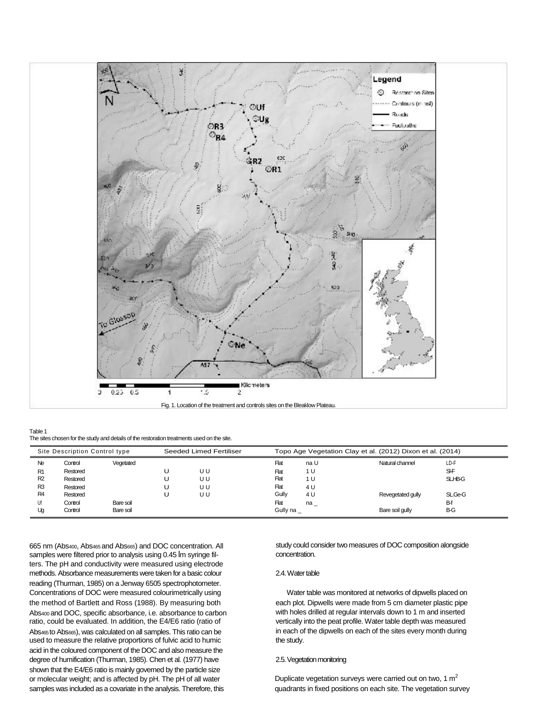

Fig. 1. Location of the treatment and controls sites on the Bleaklow Plateau.

Table 1

The sites chosen for the study and details of the restoration treatments used on the site.

| Site Description Control type |          |           | Seeded Limed Fertiliser |     | Topo Age Vegetation Clay et al. (2012) Dixon et al. (2014) |      |                   |              |  |
|-------------------------------|----------|-----------|-------------------------|-----|------------------------------------------------------------|------|-------------------|--------------|--|
| Ne                            | Control  | Vegetated |                         |     | Flat                                                       | na U | Natural channel   | LD-F         |  |
| R <sub>1</sub>                | Restored |           |                         | U U | Flat                                                       | 1 U  |                   | <b>SIF</b>   |  |
| R <sub>2</sub>                | Restored |           | U                       | U U | Flat                                                       | 1 U  |                   | <b>SLHBG</b> |  |
| R <sub>3</sub>                | Restored |           | U                       | U U | Flat                                                       | 4 U  |                   |              |  |
| R <sub>4</sub>                | Restored |           | U                       | U U | Gully                                                      | 4 U  | Revegetated gully | SL.Ge-G      |  |
| Uf                            | Control  | Bare soil |                         |     | Flat                                                       | na   |                   | <b>Bf</b>    |  |
| Ug                            | Control  | Bare soil |                         |     | Gully na                                                   |      | Bare soil gully   | B-G          |  |

665 nm (Abs400, Abs465 and Abs665) and DOC concentration. All samples were filtered prior to analysis using 0.45 lm syringe filters. The pH and conductivity were measured using electrode methods. Absorbance measurements were taken for a basic colour reading (Thurman, 1985) on a Jenway 6505 spectrophotometer. Concentrations of DOC were measured colourimetrically using the method of Bartlett and Ross (1988). By measuring both Abs400 and DOC, specific absorbance, i.e. absorbance to carbon ratio, could be evaluated. In addition, the E4/E6 ratio (ratio of Abs465 to Abs665), was calculated on all samples. This ratio can be used to measure the relative proportions of fulvic acid to humic acid in the coloured component of the DOC and also measure the degree of humification (Thurman, 1985). Chen et al. (1977) have shown that the E4/E6 ratio is mainly governed by the particle size or molecular weight; and is affected by pH. The pH of all water samples was included as a covariate in the analysis. Therefore, this

study could consider two measures of DOC composition alongside concentration.

### 2.4. Water table

Water table was monitored at networks of dipwells placed on each plot. Dipwells were made from 5 cm diameter plastic pipe with holes drilled at regular intervals down to 1 m and inserted vertically into the peat profile. Water table depth was measured in each of the dipwells on each of the sites every month during the study.

## 2.5. Vegetation monitoring

Duplicate vegetation surveys were carried out on two, 1  $m<sup>2</sup>$ quadrants in fixed positions on each site. The vegetation survey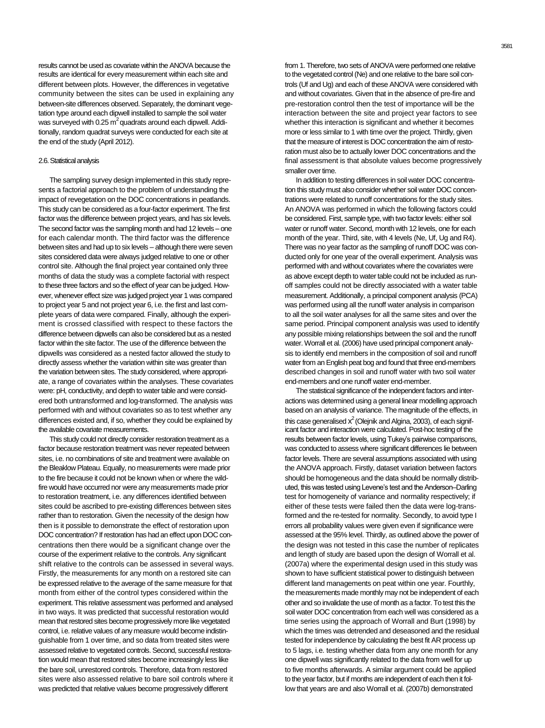results cannot be used as covariate within the ANOVA because the results are identical for every measurement within each site and different between plots. However, the differences in vegetative community between the sites can be used in explaining any between-site differences observed. Separately, the dominant vegetation type around each dipwell installed to sample the soil water was surveyed with  $0.25 \text{ m}^2$  quadrats around each dipwell. Additionally, random quadrat surveys were conducted for each site at the end of the study (April 2012).

#### 2.6. Statistical analysis

The sampling survey design implemented in this study represents a factorial approach to the problem of understanding the impact of revegetation on the DOC concentrations in peatlands. This study can be considered as a four-factor experiment. The first factor was the difference between project years, and has six levels. The second factor was the sampling month and had 12 levels – one for each calendar month. The third factor was the difference between sites and had up to six levels – although there were seven sites considered data were always judged relative to one or other control site. Although the final project year contained only three months of data the study was a complete factorial with respect to these three factors and so the effect of year can be judged. However, whenever effect size was judged project year 1 was compared to project year 5 and not project year 6, i.e. the first and last complete years of data were compared. Finally, although the experiment is crossed classified with respect to these factors the difference between dipwells can also be considered but as a nested factor within the site factor. The use of the difference between the dipwells was considered as a nested factor allowed the study to directly assess whether the variation within site was greater than the variation between sites. The study considered, where appropriate, a range of covariates within the analyses. These covariates were: pH, conductivity, and depth to water table and were considered both untransformed and log-transformed. The analysis was performed with and without covariates so as to test whether any differences existed and, if so, whether they could be explained by the available covariate measurements.

This study could not directly consider restoration treatment as a factor because restoration treatment was never repeated between sites, i.e. no combinations of site and treatment were available on the Bleaklow Plateau. Equally, no measurements were made prior to the fire because it could not be known when or where the wildfire would have occurred nor were any measurements made prior to restoration treatment, i.e. any differences identified between sites could be ascribed to pre-existing differences between sites rather than to restoration. Given the necessity of the design how then is it possible to demonstrate the effect of restoration upon DOC concentration? If restoration has had an effect upon DOC concentrations then there would be a significant change over the course of the experiment relative to the controls. Any significant shift relative to the controls can be assessed in several ways. Firstly, the measurements for any month on a restored site can be expressed relative to the average of the same measure for that month from either of the control types considered within the experiment. This relative assessment was performed and analysed in two ways. It was predicted that successful restoration would mean that restored sites become progressively more like vegetated control, i.e. relative values of any measure would become indistinguishable from 1 over time, and so data from treated sites were assessed relative to vegetated controls. Second, successful restoration would mean that restored sites become increasingly less like the bare soil, unrestored controls. Therefore, data from restored sites were also assessed relative to bare soil controls where it was predicted that relative values become progressively different

from 1. Therefore, two sets of ANOVA were performed one relative to the vegetated control (Ne) and one relative to the bare soil controls (Uf and Ug) and each of these ANOVA were considered with and without covariates. Given that in the absence of pre-fire and pre-restoration control then the test of importance will be the interaction between the site and project year factors to see whether this interaction is significant and whether it becomes more or less similar to 1 with time over the project. Thirdly, given that the measure of interest is DOC concentration the aim of restoration must also be to actually lower DOC concentrations and the final assessment is that absolute values become progressively smaller over time.

In addition to testing differences in soil water DOC concentration this study must also consider whether soil water DOC concentrations were related to runoff concentrations for the study sites. An ANOVA was performed in which the following factors could be considered. First, sample type, with two factor levels: either soil water or runoff water. Second, month with 12 levels, one for each month of the year. Third, site, with 4 levels (Ne, Uf, Ug and R4). There was no year factor as the sampling of runoff DOC was conducted only for one year of the overall experiment. Analysis was performed with and without covariates where the covariates were as above except depth to water table could not be included as runoff samples could not be directly associated with a water table measurement. Additionally, a principal component analysis (PCA) was performed using all the runoff water analysis in comparison to all the soil water analyses for all the same sites and over the same period. Principal component analysis was used to identify any possible mixing relationships between the soil and the runoff water. Worrall et al. (2006) have used principal component analysis to identify end members in the composition of soil and runoff water from an English peat bog and found that three end-members described changes in soil and runoff water with two soil water end-members and one runoff water end-member.

The statistical significance of the independent factors and interactions was determined using a general linear modelling approach based on an analysis of variance. The magnitude of the effects, in this case generalised  $x^2$  (Olejnik and Algina, 2003), of each significant factor and interaction were calculated. Post-hoc testing of the results between factor levels, using Tukey's pairwise comparisons, was conducted to assess where significant differences lie between factor levels. There are several assumptions associated with using the ANOVA approach. Firstly, dataset variation between factors should be homogeneous and the data should be normally distributed, this was tested using Levene's test and the Anderson–Darling test for homogeneity of variance and normality respectively; if either of these tests were failed then the data were log-transformed and the re-tested for normality. Secondly, to avoid type I errors all probability values were given even if significance were assessed at the 95% level. Thirdly, as outlined above the power of the design was not tested in this case the number of replicates and length of study are based upon the design of Worrall et al. (2007a) where the experimental design used in this study was shown to have sufficient statistical power to distinguish between different land managements on peat within one year. Fourthly, the measurements made monthly may not be independent of each other and so invalidate the use of month as a factor. To test this the soil water DOC concentration from each well was considered as a time series using the approach of Worrall and Burt (1998) by which the times was detrended and deseasoned and the residual tested for independence by calculating the best fit AR process up to 5 lags, i.e. testing whether data from any one month for any one dipwell was significantly related to the data from well for up to five months afterwards. A similar argument could be applied to the year factor, but if months are independent of each then it follow that years are and also Worrall et al. (2007b) demonstrated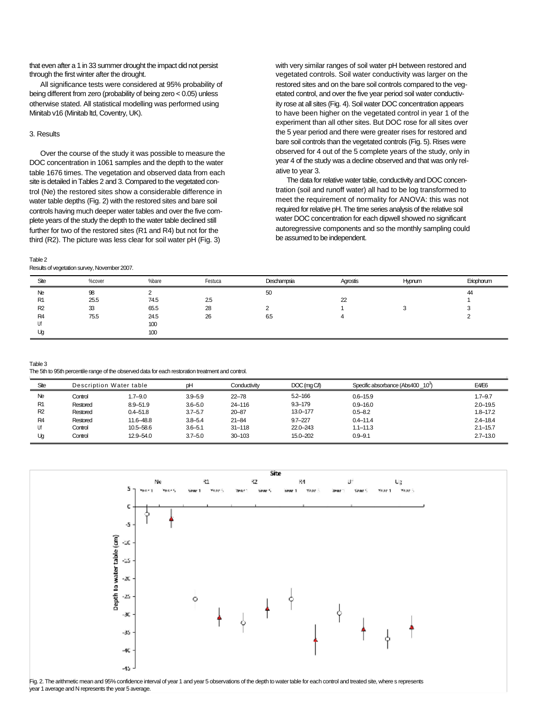that even after a 1 in 33 summer drought the impact did not persist through the first winter after the drought.

All significance tests were considered at 95% probability of being different from zero (probability of being zero < 0.05) unless otherwise stated. All statistical modelling was performed using Minitab v16 (Minitab ltd, Coventry, UK).

### 3. Results

Over the course of the study it was possible to measure the DOC concentration in 1061 samples and the depth to the water table 1676 times. The vegetation and observed data from each site is detailed in Tables 2 and 3. Compared to the vegetated control (Ne) the restored sites show a considerable difference in water table depths (Fig. 2) with the restored sites and bare soil controls having much deeper water tables and over the five complete years of the study the depth to the water table declined still further for two of the restored sites (R1 and R4) but not for the third (R2). The picture was less clear for soil water pH (Fig. 3)

with very similar ranges of soil water pH between restored and vegetated controls. Soil water conductivity was larger on the restored sites and on the bare soil controls compared to the vegetated control, and over the five year period soil water conductivity rose at all sites (Fig. 4). Soil water DOC concentration appears to have been higher on the vegetated control in year 1 of the experiment than all other sites. But DOC rose for all sites over the 5 year period and there were greater rises for restored and bare soil controls than the vegetated controls (Fig. 5). Rises were observed for 4 out of the 5 complete years of the study, only in year 4 of the study was a decline observed and that was only relative to year 3.

The data for relative water table, conductivity and DOC concentration (soil and runoff water) all had to be log transformed to meet the requirement of normality for ANOVA: this was not required for relative pH. The time series analysis of the relative soil water DOC concentration for each dipwell showed no significant autoregressive components and so the monthly sampling could be assumed to be independent.

|--|--|--|--|

Results of vegetation survey, November 2007.

| Site           | %cover | %bare | Festuca | Deschampsia | Agrostis  | Hypnum | Eriophorum |
|----------------|--------|-------|---------|-------------|-----------|--------|------------|
| Ne             | 98     |       |         | 50          |           |        | 44         |
| R <sub>1</sub> | 25.5   | 74.5  | 2.5     |             | - 22<br>∠ |        |            |
| R <sub>2</sub> | 33     | 65.5  | 28      |             |           |        |            |
| R <sub>4</sub> | 75.5   | 24.5  | 26      | 6.5         | Δ         |        | <u>_</u>   |
| Uf             |        | 100   |         |             |           |        |            |
| Ug             |        | 100   |         |             |           |        |            |

Table 3 The 5th to 95th percentile range of the observed data for each restoration treatment and control.

| Site           |          | Description Water table | pH          | Conductivity | DOC(mqC)     | Specific absorbance (Abs400 10 <sup>3</sup> ) | E4/E6        |
|----------------|----------|-------------------------|-------------|--------------|--------------|-----------------------------------------------|--------------|
| Ne             | Control  | $1.7 - 9.0$             | $3.9 - 5.9$ | $22 - 78$    | $5.2 - 166$  | $0.6 - 15.9$                                  | $1.7 - 9.7$  |
| R <sub>1</sub> | Restored | $8.9 - 51.9$            | $3.6 - 5.0$ | $24 - 116$   | 9.3-179      | $0.9 - 16.0$                                  | $2.0 - 19.5$ |
| R <sub>2</sub> | Restored | $0.4 - 51.8$            | $3.7 - 5.7$ | $20 - 87$    | 13.0-177     | $0.5 - 8.2$                                   | $1.8 - 17.2$ |
| R <sub>4</sub> | Restored | 11.6-48.8               | $3.8 - 5.4$ | $21 - 84$    | $9.7 - 227$  | $0.4 - 11.4$                                  | $2.4 - 18.4$ |
|                | Control  | 10.5-58.6               | $3.6 - 5.1$ | $31 - 118$   | $22.0 - 243$ | $1.1 - 11.3$                                  | $2.1 - 15.7$ |
| Ug             | Control  | 12.9-54.0               | $3.7 - 5.0$ | $30 - 103$   | 15.0-202     | $0.9 - 9.1$                                   | $2.7 - 13.0$ |



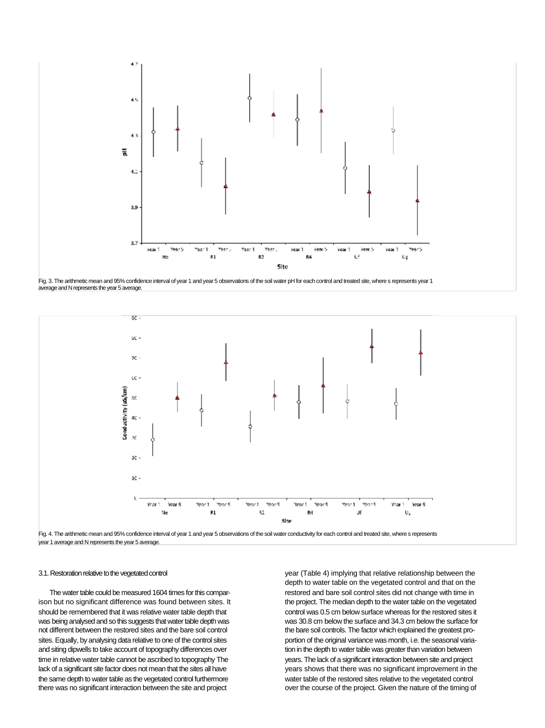

Fig. 3. The arithmetic mean and 95% confidence interval of year 1 and year 5 observations of the soil water pH for each control and treated site, where s represents year 1 average and N represents the year 5 average.



Fig. 4. The arithmetic mean and 95% confidence interval of year 1 and year 5 observations of the soil water conductivity for each control and treated site, where s represents year 1 average and N represents the year 5 average.

### 3.1. Restoration relative to the vegetated control

The water table could be measured 1604 times for this comparison but no significant difference was found between sites. It should be remembered that it was relative water table depth that was being analysed and so this suggests that water table depth was not different between the restored sites and the bare soil control sites. Equally, by analysing data relative to one of the control sites and siting dipwells to take account of topography differences over time in relative water table cannot be ascribed to topography The lack of a significant site factor does not mean that the sites all have the same depth to water table as the vegetated control furthermore there was no significant interaction between the site and project

year (Table 4) implying that relative relationship between the depth to water table on the vegetated control and that on the restored and bare soil control sites did not change with time in the project. The median depth to the water table on the vegetated control was 0.5 cm below surface whereas for the restored sites it was 30.8 cm below the surface and 34.3 cm below the surface for the bare soil controls. The factor which explained the greatest proportion of the original variance was month, i.e. the seasonal variation in the depth to water table was greater than variation between years. The lack of a significant interaction between site and project years shows that there was no significant improvement in the water table of the restored sites relative to the vegetated control over the course of the project. Given the nature of the timing of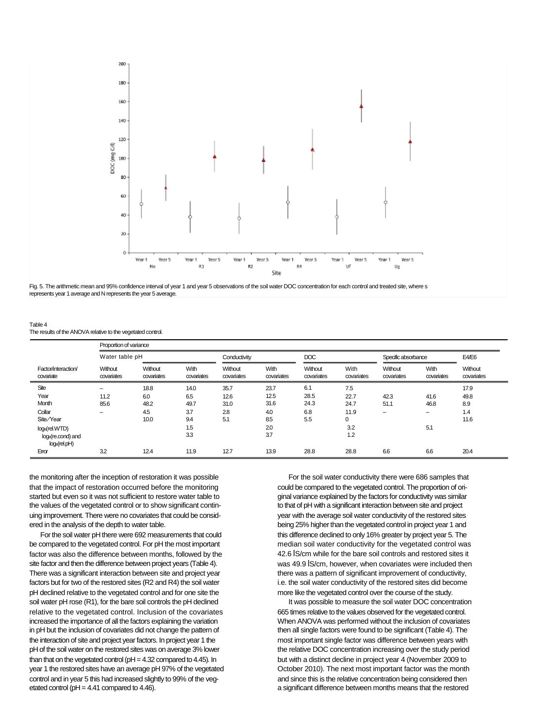



| Table 4                                                     |  |
|-------------------------------------------------------------|--|
| The results of the ANOVA relative to the vegetated control. |  |

|                                   | Proportion of variance |                       |                           |                       |                    |                       |                    |                       |                    |                       |  |  |
|-----------------------------------|------------------------|-----------------------|---------------------------|-----------------------|--------------------|-----------------------|--------------------|-----------------------|--------------------|-----------------------|--|--|
|                                   | Water table pH         |                       |                           | Conductivity          |                    | DOC                   |                    | Specific absorbance   |                    | E4/E6                 |  |  |
| Factor/interaction/<br>covariate  | Without<br>covariates  | Without<br>covariates | <b>With</b><br>covariates | Without<br>covariates | With<br>covariates | Without<br>covariates | With<br>covariates | Without<br>covariates | With<br>covariates | Without<br>covariates |  |  |
| Site                              | -                      | 18.8                  | 14.0                      | 35.7                  | 23.7               | 6.1                   | 7.5                |                       |                    | 17.9                  |  |  |
| Year                              | 11.2                   | 6.0                   | 6.5                       | 12.6                  | 12.5               | 28.5                  | 22.7               | 42.3                  | 41.6               | 49.8                  |  |  |
| Month                             | 85.6                   | 48.2                  | 49.7                      | 31.0                  | 31.6               | 24.3                  | 24.7               | 51.1                  | 46.8               | 8.9                   |  |  |
| Collar                            | -                      | 4.5                   | 3.7                       | 2.8                   | 4.0                | 6.8                   | 11.9               | -                     | -                  | 1.4                   |  |  |
| Site/Year                         |                        | 10.0                  | 9.4                       | 5.1                   | 8.5                | 5.5                   | 0                  |                       |                    | 11.6                  |  |  |
| loge(rel.WTD)                     |                        |                       | 1.5                       |                       | 2.0                |                       | 3.2                |                       | 5.1                |                       |  |  |
| loge(re.cond) and<br>loge(rel.pH) |                        |                       | 3.3                       |                       | 3.7                |                       | 1.2                |                       |                    |                       |  |  |
| Error                             | 3.2                    | 12.4                  | 11.9                      | 12.7                  | 13.9               | 28.8                  | 28.8               | 6.6                   | 6.6                | 20.4                  |  |  |

the monitoring after the inception of restoration it was possible that the impact of restoration occurred before the monitoring started but even so it was not sufficient to restore water table to the values of the vegetated control or to show significant continuing improvement. There were no covariates that could be considered in the analysis of the depth to water table.

For the soil water pH there were 692 measurements that could be compared to the vegetated control. For pH the most important factor was also the difference between months, followed by the site factor and then the difference between project years (Table 4). There was a significant interaction between site and project year factors but for two of the restored sites (R2 and R4) the soil water pH declined relative to the vegetated control and for one site the soil water pH rose (R1), for the bare soil controls the pH declined relative to the vegetated control. Inclusion of the covariates increased the importance of all the factors explaining the variation in pH but the inclusion of covariates did not change the pattern of the interaction of site and project year factors. In project year 1 the pH of the soil water on the restored sites was on average 3% lower than that on the vegetated control (pH = 4.32 compared to 4.45). In year 1 the restored sites have an average pH 97% of the vegetated control and in year 5 this had increased slightly to 99% of the vegetated control ( $pH = 4.41$  compared to 4.46).

For the soil water conductivity there were 686 samples that could be compared to the vegetated control. The proportion of original variance explained by the factors for conductivity was similar to that of pH with a significant interaction between site and project year with the average soil water conductivity of the restored sites being 25% higher than the vegetated control in project year 1 and this difference declined to only 16% greater by project year 5. The median soil water conductivity for the vegetated control was 42.6 lS/cm while for the bare soil controls and restored sites it was 49.9 lS/cm, however, when covariates were included then there was a pattern of significant improvement of conductivity, i.e. the soil water conductivity of the restored sites did become more like the vegetated control over the course of the study.

It was possible to measure the soil water DOC concentration 665 times relative to the values observed for the vegetated control. When ANOVA was performed without the inclusion of covariates then all single factors were found to be significant (Table 4). The most important single factor was difference between years with the relative DOC concentration increasing over the study period but with a distinct decline in project year 4 (November 2009 to October 2010). The next most important factor was the month and since this is the relative concentration being considered then a significant difference between months means that the restored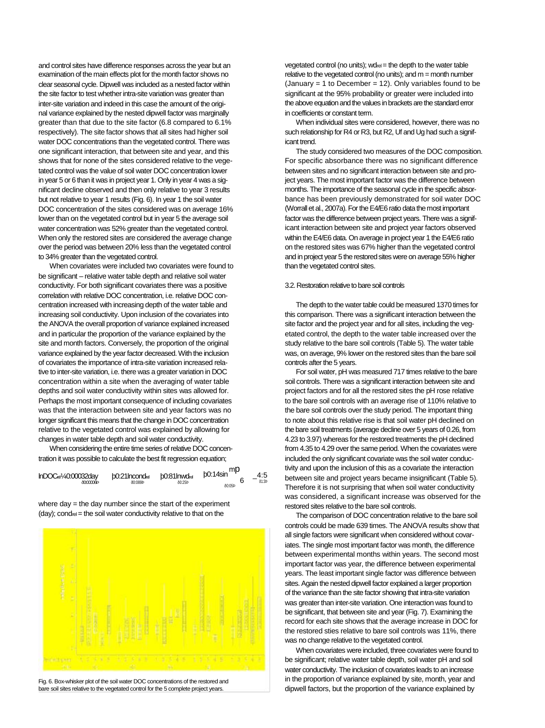and control sites have difference responses across the year but an examination of the main effects plot for the month factor shows no clear seasonal cycle. Dipwell was included as a nested factor within the site factor to test whether intra-site variation was greater than inter-site variation and indeed in this case the amount of the original variance explained by the nested dipwell factor was marginally greater than that due to the site factor (6.8 compared to 6.1% respectively). The site factor shows that all sites had higher soil water DOC concentrations than the vegetated control. There was one significant interaction, that between site and year, and this shows that for none of the sites considered relative to the vegetated control was the value of soil water DOC concentration lower in year 5 or 6 than it was in project year 1. Only in year 4 was a significant decline observed and then only relative to year 3 results but not relative to year 1 results (Fig. 6). In year 1 the soil water DOC concentration of the sites considered was on average 16% lower than on the vegetated control but in year 5 the average soil water concentration was 52% greater than the vegetated control. When only the restored sites are considered the average change over the period was between 20% less than the vegetated control to 34% greater than the vegetated control.

When covariates were included two covariates were found to be significant – relative water table depth and relative soil water conductivity. For both significant covariates there was a positive correlation with relative DOC concentration, i.e. relative DOC concentration increased with increasing depth of the water table and increasing soil conductivity. Upon inclusion of the covariates into the ANOVA the overall proportion of variance explained increased and in particular the proportion of the variance explained by the site and month factors. Conversely, the proportion of the original variance explained by the year factor decreased. With the inclusion of covariates the importance of intra-site variation increased relative to inter-site variation, i.e. there was a greater variation in DOC concentration within a site when the averaging of water table depths and soil water conductivity within sites was allowed for. Perhaps the most important consequence of including covariates was that the interaction between site and year factors was no longer significant this means that the change in DOC concentration relative to the vegetated control was explained by allowing for changes in water table depth and soil water conductivity.

When considering the entire time series of relative DOC concentration it was possible to calculate the best fit regression equation;

$$
\text{InDOC}_{\text{rd}}\text{1/40:00032day}\newline\text{1/40:00032day}\newline\text{1/40:00032day}\newline\text{1/40:00032day}\newline\text{1/40:00032day}\newline\text{1/40:00032day}\newline\text{1/40:00032day}\newline\text{1/40:00032day}\newline\text{1/40:00032day}\newline\text{1/40:00032day}\newline\text{1/40:00032day}\newline\text{1/40:00032day}\newline\text{1/40:00032day}\newline\text{1/40:00032day}\newline\text{1/40:00032day}\newline\text{1/40:00032day}\newline\text{1/40:00032day}\newline\text{1/40:00032day}\newline\text{1/40:00032day}\newline\text{1/40:00032day}\newline\text{1/40:00032day}\newline\text{1/40:00032day}\newline\text{1/40:00032day}\newline\text{1/40:00032day}\newline\text{1/40:00032day}\newline\text{1/40:00032day}\newline\text{1/40:00032day}\newline\text{1/40:00032day}\newline\text{1/40:00032day}\newline\text{1/40:00032day}\newline\text{1/40:00032day}\newline\text{1/40:00032day}\newline\text{1/40:00032day}\newline\text{1/40:00032day}\newline\text{1/40:00032day}\newline\text{1/40:00032day}\newline\text{1/40:00032day}\newline\text{1/40:00032day}\newline\text{1/40:00032day}\newline\text{1/40:00032day}\newline\text{1/40:00032day}\newline\text{1/40:00032day}\newline\text{1/40:00032day}\newline\text{1/40:00032day}\newline\text{1/40:00032day}\newline\text{1/40:00032day}\newline\text{1/40:00032
$$

ð1:3Þ

where  $day =$  the day number since the start of the experiment  $(day)$ ; condrel = the soil water conductivity relative to that on the



Fig. 6. Box-whisker plot of the soil water DOC concentrations of the restored and e soil sites relative to the vegetated control for the 5 complete project years.

vegetated control (no units); wdrel = the depth to the water table relative to the vegetated control (no units); and  $m =$  month number  $(January = 1 to December = 12)$ . Only variables found to be significant at the 95% probability or greater were included into the above equation and the values in brackets are the standard error in coefficients or constant term.

When individual sites were considered, however, there was no such relationship for R4 or R3, but R2, Uf and Ug had such a significant trend.

The study considered two measures of the DOC composition. For specific absorbance there was no significant difference between sites and no significant interaction between site and project years. The most important factor was the difference between months. The importance of the seasonal cycle in the specific absorbance has been previously demonstrated for soil water DOC (Worrall et al., 2007a). For the E4/E6 ratio data the most important factor was the difference between project years. There was a significant interaction between site and project year factors observed within the E4/E6 data. On average in project year 1 the E4/E6 ratio on the restored sites was 67% higher than the vegetated control and in project year 5 the restored sites were on average 55% higher than the vegetated control sites.

#### 3.2. Restoration relative to bare soil controls

The depth to the water table could be measured 1370 times for this comparison. There was a significant interaction between the site factor and the project year and for all sites, including the vegetated control, the depth to the water table increased over the study relative to the bare soil controls (Table 5). The water table was, on average, 9% lower on the restored sites than the bare soil controls after the 5 years.

For soil water, pH was measured 717 times relative to the bare soil controls. There was a significant interaction between site and project factors and for all the restored sites the pH rose relative to the bare soil controls with an average rise of 110% relative to the bare soil controls over the study period. The important thing to note about this relative rise is that soil water pH declined on the bare soil treatments (average decline over 5 years of 0.26, from 4.23 to 3.97) whereas for the restored treatments the pH declined from 4.35 to 4.29 over the same period. When the covariates were included the only significant covariate was the soil water conductivity and upon the inclusion of this as a covariate the interaction between site and project years became insignificant (Table 5). Therefore it is not surprising that when soil water conductivity was considered, a significant increase was observed for the restored sites relative to the bare soil controls.

The comparison of DOC concentration relative to the bare soil controls could be made 639 times. The ANOVA results show that all single factors were significant when considered without covariates. The single most important factor was month, the difference between experimental months within years. The second most important factor was year, the difference between experimental years. The least important single factor was difference between sites. Again the nested dipwell factor explained a larger proportion of the variance than the site factor showing that intra-site variation was greater than inter-site variation. One interaction was found to be significant, that between site and year (Fig. 7). Examining the record for each site shows that the average increase in DOC for the restored sties relative to bare soil controls was 11%, there was no change relative to the vegetated control.

When covariates were included, three covariates were found to be significant; relative water table depth, soil water pH and soil water conductivity. The inclusion of covariates leads to an increase in the proportion of variance explained by site, month, year and dipwell factors, but the proportion of the variance explained by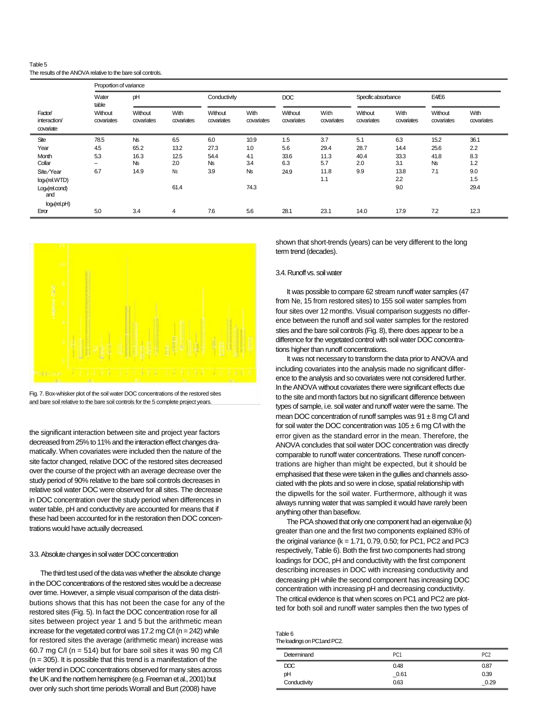#### Table 5 The results of the ANOVA relative to the bare soil controls.

|                                      | Proportion of variance   |                       |                    |                       |                    |                       |                    |                       |                    |                       |                    |  |
|--------------------------------------|--------------------------|-----------------------|--------------------|-----------------------|--------------------|-----------------------|--------------------|-----------------------|--------------------|-----------------------|--------------------|--|
|                                      | Water<br>table           | pH                    |                    | Conductivity          |                    | DOC                   |                    | Specific absorbance   |                    | E4/E6                 |                    |  |
| Factor/<br>interaction/<br>covariate | Without<br>covariates    | Without<br>covariates | With<br>covariates | Without<br>covariates | With<br>covariates | Without<br>covariates | With<br>covariates | Without<br>covariates | With<br>covariates | Without<br>covariates | With<br>covariates |  |
| Site                                 | 78.5                     | <b>Ns</b>             | 6.5                | 6.0                   | 10.9               | 1.5                   | 3.7                | 5.1                   | 6.3                | 15.2                  | 36.1               |  |
| Year                                 | 4.5                      | 65.2                  | 13.2               | 27.3                  | 1.0                | 5.6                   | 29.4               | 28.7                  | 14.4               | 25.6                  | 2.2                |  |
| Month                                | 5.3                      | 16.3                  | 12.5               | 54.4                  | 4.1                | 33.6                  | 11.3               | 40.4                  | 33.3               | 41.8                  | 8.3                |  |
| Collar                               | $\overline{\phantom{0}}$ | <b>Ns</b>             | 2.0                | Ns                    | 3.4                | 6.3                   | 5.7                | 2.0                   | 3.1                | <b>Ns</b>             | 1.2                |  |
| Site/Year                            | 6.7                      | 14.9                  | Ns                 | 3.9                   | Ns                 | 24.9                  | 11.8               | 9.9                   | 13.8               | 7.1                   | 9.0                |  |
| loge(rel.WTD)                        |                          |                       |                    |                       |                    |                       | 1.1                |                       | 2.2                |                       | 1.5                |  |
| Loge(rel.cond)<br>and                |                          |                       | 61.4               |                       | 74.3               |                       |                    |                       | 9.0                |                       | 29.4               |  |
| loge(rel.pH)                         |                          |                       |                    |                       |                    |                       |                    |                       |                    |                       |                    |  |
| Error                                | 5.0                      | 3.4                   | 4                  | 7.6                   | 5.6                | 28.1                  | 23.1               | 14.0                  | 17.9               | 7.2                   | 12.3               |  |



Fig. 7. Box-whisker plot of the soil water DOC concentrations of the restored sites and bare soil relative to the bare soil controls for the 5 complete project years.

the significant interaction between site and project year factors decreased from 25% to 11% and the interaction effect changes dramatically. When covariates were included then the nature of the site factor changed, relative DOC of the restored sites decreased over the course of the project with an average decrease over the study period of 90% relative to the bare soil controls decreases in relative soil water DOC were observed for all sites. The decrease in DOC concentration over the study period when differences in water table, pH and conductivity are accounted for means that if these had been accounted for in the restoration then DOC concentrations would have actually decreased.

### 3.3. Absolute changes in soil water DOC concentration

The third test used of the data was whether the absolute change in the DOC concentrations of the restored sites would be a decrease over time. However, a simple visual comparison of the data distributions shows that this has not been the case for any of the restored sites (Fig. 5). In fact the DOC concentration rose for all sites between project year 1 and 5 but the arithmetic mean increase for the vegetated control was 17.2 mg  $C/l$  (n = 242) while for restored sites the average (arithmetic mean) increase was 60.7 mg C/l ( $n = 514$ ) but for bare soil sites it was 90 mg C/l  $(n = 305)$ . It is possible that this trend is a manifestation of the wider trend in DOC concentrations observed for many sites across the UK and the northern hemisphere (e.g. Freeman et al., 2001) but over only such short time periods Worrall and Burt (2008) have

shown that short-trends (years) can be very different to the long term trend (decades).

### 3.4. Runoff vs. soil water

It was possible to compare 62 stream runoff water samples (47 from Ne, 15 from restored sites) to 155 soil water samples from four sites over 12 months. Visual comparison suggests no difference between the runoff and soil water samples for the restored sties and the bare soil controls (Fig. 8), there does appear to be a difference for the vegetated control with soil water DOC concentrations higher than runoff concentrations.

It was not necessary to transform the data prior to ANOVA and including covariates into the analysis made no significant difference to the analysis and so covariates were not considered further. In the ANOVA without covariates there were significant effects due to the site and month factors but no significant difference between types of sample, i.e. soil water and runoff water were the same. The mean DOC concentration of runoff samples was  $91 \pm 8$  mg C/l and for soil water the DOC concentration was  $105 \pm 6$  mg C/l with the error given as the standard error in the mean. Therefore, the ANOVA concludes that soil water DOC concentration was directly comparable to runoff water concentrations. These runoff concentrations are higher than might be expected, but it should be emphasised that these were taken in the gullies and channels associated with the plots and so were in close, spatial relationship with the dipwells for the soil water. Furthermore, although it was always running water that was sampled it would have rarely been anything other than baseflow.

The PCA showed that only one component had an eigenvalue (k) greater than one and the first two components explained 83% of the original variance  $(k = 1.71, 0.79, 0.50;$  for PC1, PC2 and PC3 respectively, Table 6). Both the first two components had strong loadings for DOC, pH and conductivity with the first component describing increases in DOC with increasing conductivity and decreasing pH while the second component has increasing DOC concentration with increasing pH and decreasing conductivity. The critical evidence is that when scores on PC1 and PC2 are plotted for both soil and runoff water samples then the two types of

| Table 6                      |  |
|------------------------------|--|
| The loadings on PC1 and PC2. |  |

| Determinand  | PC <sub>1</sub> | PC <sub>2</sub> |
|--------------|-----------------|-----------------|
| DОC          | 0.48            | 0.87            |
| pН           | $\_0.61$        | 0.39            |
| Conductivity | 0.63            | 0.29            |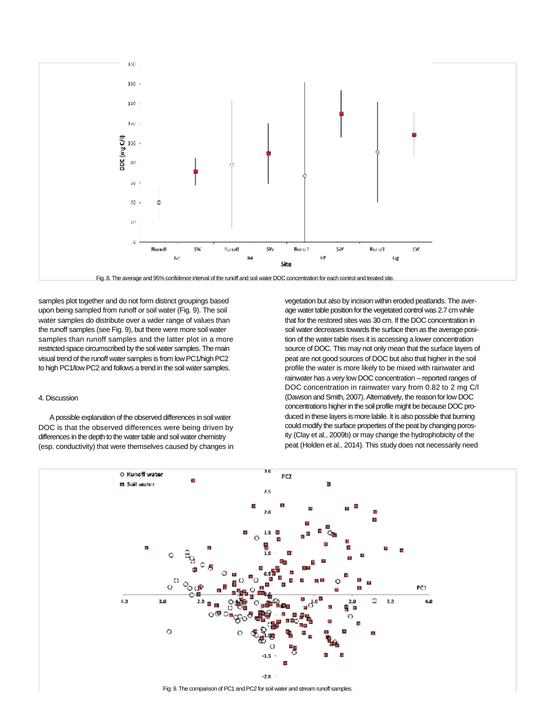

Fig. 8. The average and 95% confidence interval of the runoff and soil water DOC concentration for each control and treated site.

samples plot together and do not form distinct groupings based upon being sampled from runoff or soil water (Fig. 9). The soil water samples do distribute over a wider range of values than the runoff samples (see Fig. 9), but there were more soil water samples than runoff samples and the latter plot in a more restricted space circumscribed by the soil water samples. The main visual trend of the runoff water samples is from low PC1/high PC2 to high PC1/low PC2 and follows a trend in the soil water samples.

### 4. Discussion

A possible explanation of the observed differences in soil water DOC is that the observed differences were being driven by differences in the depth to the water table and soil water chemistry (esp. conductivity) that were themselves caused by changes in

vegetation but also by incision within eroded peatlands. The average water table position for the vegetated control was 2.7 cm while that for the restored sites was 30 cm. If the DOC concentration in soil water decreases towards the surface then as the average position of the water table rises it is accessing a lower concentration source of DOC. This may not only mean that the surface layers of peat are not good sources of DOC but also that higher in the soil profile the water is more likely to be mixed with rainwater and rainwater has a very low DOC concentration – reported ranges of DOC concentration in rainwater vary from 0.82 to 2 mg C/l (Dawson and Smith, 2007). Alternatively, the reason for low DOC concentrations higher in the soil profile might be because DOC produced in these layers is more labile. It is also possible that burning could modify the surface properties of the peat by changing porosity (Clay et al., 2009b) or may change the hydrophobicity of the peat (Holden et al., 2014). This study does not necessarily need



Fig. 9. The comparison of PC1 and PC2 for soil water and stream runoff samples.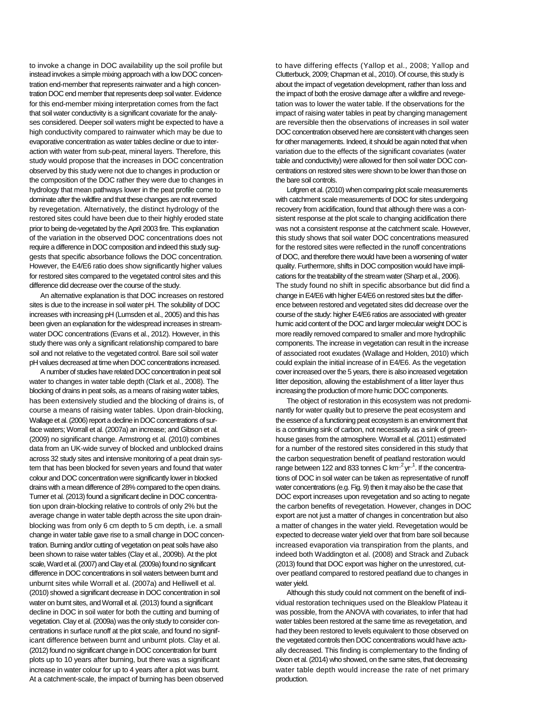to invoke a change in DOC availability up the soil profile but instead invokes a simple mixing approach with a low DOC concentration end-member that represents rainwater and a high concentration DOC end member that represents deep soil water. Evidence for this end-member mixing interpretation comes from the fact that soil water conductivity is a significant covariate for the analyses considered. Deeper soil waters might be expected to have a high conductivity compared to rainwater which may be due to evaporative concentration as water tables decline or due to interaction with water from sub-peat, mineral layers. Therefore, this study would propose that the increases in DOC concentration observed by this study were not due to changes in production or the composition of the DOC rather they were due to changes in hydrology that mean pathways lower in the peat profile come to dominate after the wildfire and that these changes are not reversed by revegetation. Alternatively, the distinct hydrology of the restored sites could have been due to their highly eroded state prior to being de-vegetated by the April 2003 fire. This explanation of the variation in the observed DOC concentrations does not require a difference in DOC composition and indeed this study suggests that specific absorbance follows the DOC concentration. However, the E4/E6 ratio does show significantly higher values for restored sites compared to the vegetated control sites and this difference did decrease over the course of the study.

An alternative explanation is that DOC increases on restored sites is due to the increase in soil water pH. The solubility of DOC increases with increasing pH (Lumsden et al., 2005) and this has been given an explanation for the widespread increases in streamwater DOC concentrations (Evans et al., 2012). However, in this study there was only a significant relationship compared to bare soil and not relative to the vegetated control. Bare soil soil water pH values decreased at time when DOC concentrations increased.

A number of studies have related DOC concentration in peat soil water to changes in water table depth (Clark et al., 2008). The blocking of drains in peat soils, as a means of raising water tables, has been extensively studied and the blocking of drains is, of course a means of raising water tables. Upon drain-blocking, Wallage et al. (2006) report a decline in DOC concentrations of surface waters; Worrall et al. (2007a) an increase; and Gibson et al. (2009) no significant change. Armstrong et al. (2010) combines data from an UK-wide survey of blocked and unblocked drains across 32 study sites and intensive monitoring of a peat drain system that has been blocked for seven years and found that water colour and DOC concentration were significantly lower in blocked drains with a mean difference of 28% compared to the open drains. Turner et al. (2013) found a significant decline in DOC concentration upon drain-blocking relative to controls of only 2% but the average change in water table depth across the site upon drainblocking was from only 6 cm depth to 5 cm depth, i.e. a small change in water table gave rise to a small change in DOC concentration. Burning and/or cutting of vegetation on peat soils have also been shown to raise water tables (Clay et al., 2009b). At the plot scale, Ward et al. (2007) and Clay et al. (2009a) found no significant difference in DOC concentrations in soil waters between burnt and unburnt sites while Worrall et al. (2007a) and Helliwell et al. (2010) showed a significant decrease in DOC concentration in soil water on burnt sites, and Worrall et al. (2013) found a significant decline in DOC in soil water for both the cutting and burning of vegetation. Clay et al. (2009a) was the only study to consider concentrations in surface runoff at the plot scale, and found no significant difference between burnt and unburnt plots. Clay et al. (2012) found no significant change in DOC concentration for burnt plots up to 10 years after burning, but there was a significant increase in water colour for up to 4 years after a plot was burnt. At a catchment-scale, the impact of burning has been observed to have differing effects (Yallop et al., 2008; Yallop and Clutterbuck, 2009; Chapman et al., 2010). Of course, this study is about the impact of vegetation development, rather than loss and the impact of both the erosive damage after a wildfire and revegetation was to lower the water table. If the observations for the impact of raising water tables in peat by changing management are reversible then the observations of increases in soil water DOC concentration observed here are consistent with changes seen for other managements. Indeed, it should be again noted that when variation due to the effects of the significant covariates (water table and conductivity) were allowed for then soil water DOC concentrations on restored sites were shown to be lower than those on the bare soil controls.

Lofaren et al. (2010) when comparing plot scale measurements with catchment scale measurements of DOC for sites undergoing recovery from acidification, found that although there was a consistent response at the plot scale to changing acidification there was not a consistent response at the catchment scale. However, this study shows that soil water DOC concentrations measured for the restored sites were reflected in the runoff concentrations of DOC, and therefore there would have been a worsening of water quality. Furthermore, shifts in DOC composition would have implications for the treatability of the stream water (Sharp et al., 2006). The study found no shift in specific absorbance but did find a change in E4/E6 with higher E4/E6 on restored sites but the difference between restored and vegetated sites did decrease over the course of the study: higher E4/E6 ratios are associated with greater humic acid content of the DOC and larger molecular weight DOC is more readily removed compared to smaller and more hydrophilic components. The increase in vegetation can result in the increase of associated root exudates (Wallage and Holden, 2010) which could explain the initial increase of in E4/E6. As the vegetation cover increased over the 5 years, there is also increased vegetation litter deposition, allowing the establishment of a litter layer thus increasing the production of more humic DOC components.

The object of restoration in this ecosystem was not predominantly for water quality but to preserve the peat ecosystem and the essence of a functioning peat ecosystem is an environment that is a continuing sink of carbon, not necessarily as a sink of greenhouse gases from the atmosphere. Worrall et al. (2011) estimated for a number of the restored sites considered in this study that the carbon sequestration benefit of peatland restoration would range between 122 and 833 tonnes C  $km^{-2}yr^{-1}$ . If the concentrations of DOC in soil water can be taken as representative of runoff water concentrations (e.g. Fig. 9) then it may also be the case that DOC export increases upon revegetation and so acting to negate the carbon benefits of revegetation. However, changes in DOC export are not just a matter of changes in concentration but also a matter of changes in the water yield. Revegetation would be expected to decrease water yield over that from bare soil because increased evaporation via transpiration from the plants, and indeed both Waddington et al. (2008) and Strack and Zuback (2013) found that DOC export was higher on the unrestored, cutover peatland compared to restored peatland due to changes in water yield.

Although this study could not comment on the benefit of individual restoration techniques used on the Bleaklow Plateau it was possible, from the ANOVA with covariates, to infer that had water tables been restored at the same time as revegetation, and had they been restored to levels equivalent to those observed on the vegetated controls then DOC concentrations would have actually decreased. This finding is complementary to the finding of Dixon et al. (2014) who showed, on the same sites, that decreasing water table depth would increase the rate of net primary production.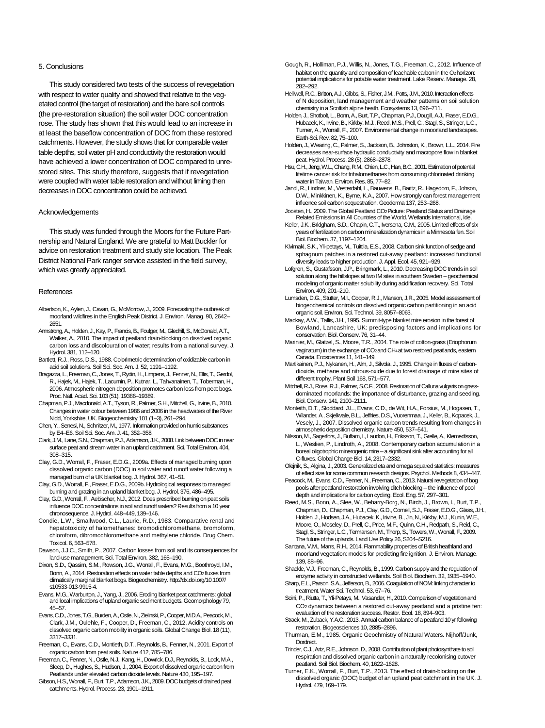### 5. Conclusions

This study considered two tests of the success of revegetation with respect to water quality and showed that relative to the vegetated control (the target of restoration) and the bare soil controls (the pre-restoration situation) the soil water DOC concentration rose. The study has shown that this would lead to an increase in at least the baseflow concentration of DOC from these restored catchments. However, the study shows that for comparable water table depths, soil water pH and conductivity the restoration would have achieved a lower concentration of DOC compared to unrestored sites. This study therefore, suggests that if revegetation were coupled with water table restoration and without liming then decreases in DOC concentration could be achieved.

#### Acknowledgements

This study was funded through the Moors for the Future Partnership and Natural England. We are grateful to Matt Buckler for advice on restoration treatment and study site location. The Peak District National Park ranger service assisted in the field survey, which was greatly appreciated.

#### References

- Albertson, K., Aylen, J., Cavan, G., McMorrow, J., 2009. Forecasting the outbreak of moorland wildfires in the English Peak District. J. Environ. Manag. 90, 2642– 2651.
- Armstrong, A., Holden, J., Kay, P., Francis, B., Foulger, M., Gledhill, S., McDonald, A.T., Walker, A., 2010. The impact of peatland drain-blocking on dissolved organic carbon loss and discolouration of water; results from a national survey. J. Hydrol. 381, 112–120.
- Bartlett, R.J., Ross, D.S., 1988. Colorimetric determination of oxidizable carbon in acid soil solutions. Soil Sci. Soc. Am. J. 52, 1191–1192.
- Bragazza, L., Freeman, C., Jones, T., Rydin, H., Limpens, J., Fenner, N., Ellis, T., Gerdol, R., Hajek, M., Hajek, T., Lacumin, P., Kutnar, L., Tahvanainen, T., Toberman, H., 2006. Atmospheric nitrogen deposition promotes carbon loss from peat bogs. Proc. Natl. Acad. Sci. 103 (51), 19386–19389.
- Chapman, P.J., Macdonald, A.T., Tyson, R., Palmer, S.H., Mitchell, G., Irvine, B., 2010. Changes in water colour between 1986 and 2006 in the headwaters of the River Nidd, Yorkshire, UK. Biogeochemistry 101 (1–3), 261–294.
- Chen, Y., Senesi, N., Schnitzer, M., 1977. Information provided on humic substances byE4–E6. Soil Sci. Soc. Am. J. 41, 352–358.
- Clark, J.M., Lane, S.N., Chapman, P.J., Adamson, J.K., 2008. Link between DOC in near surface peat and stream water in an upland catchment. Sci. Total Environ. 404, 308–315.
- Clay, G.D., Worrall, F., Fraser, E.D.G., 2009a. Effects of managed burning upon dissolved organic carbon (DOC) in soil water and runoff water following a managed burn of a UK blanket bog. J. Hydrol. 367, 41–51.
- Clay, G.D., Worrall, F., Fraser, E.D.G., 2009b. Hydrological responses to managed burning and grazing in an upland blanket bog. J. Hydrol. 376, 486–495.
- Clay, G.D., Worrall, F., Aebischer, N.J., 2012. Does prescribed burning on peat soils influence DOC concentrations in soil and runoff waters? Results from a 10 year chronosequence. J. Hydrol. 448–449, 139–146.
- Condie, L.W., Smallwood, C.L., Laurie, R.D., 1983. Comparative renal and hepatotoxicity of halomethanes: bromodichloromethane, bromoform, chloroform, dibromochloromethane and methylene chloride. Drug Chem. Toxicol. 6, 563–578.
- Dawson, J.J.C., Smith, P., 2007. Carbon losses from soil and its consequences for land-use management. Sci. Total Environ. 382, 165–190.
- Dixon, S.D., Qassim, S.M., Rowson, J.G., Worrall, F., Evans, M.G., Boothroyd, I.M., Bonn, A., 2014. Restoration effects on water table depths and CO2 fluxes from climatically marginal blanket bogs. Biogeochemistry. http://dx.doi.org/10.1007/ s10533-013-9915-4.
- Evans, M.G., Warburton, J., Yang, J., 2006. Eroding blanket peat catchments: global and local implications of upland organic sediment budgets. Geomorphology 79, 45–57.
- Evans, C.D., Jones, T.G., Burden, A., Ostle, N., Zielinski, P., Cooper, M.D.A., Peacock, M., Clark, J.M., Oulehle, F., Cooper, D., Freeman, C., 2012. Acidity controls on dissolved organic carbon mobility in organic soils. Global Change Biol. 18 (11), 3317–3331.
- Freeman, C., Evans, C.D., Montieth, D.T., Reynolds, B., Fenner, N., 2001. Export of organic carbon from peat soils. Nature 412, 785–786.
- Freeman, C., Fenner, N., Ostle, N.J., Kang, H., Dowrick, D.J., Reynolds, B., Lock, M.A., Sleep, D., Hughes, S., Hudson, J., 2004. Export of dissolved organic carbon from Peatlands under elevated carbon dioxide levels. Nature 430, 195–197.
- Gibson, H.S., Worrall, F., Burt, T.P., Adamson, J.K., 2009. DOC budgets of drained peat catchments. Hydrol. Process. 23, 1901–1911.
- Gough, R., Holliman, P.J., Willis, N., Jones, T.G., Freeman, C., 2012. Influence of habitat on the quantity and composition of leachable carbon in the O2 horizon: potential implications for potable water treatment. Lake Reserv. Manage. 28, 282–292.
- Helliwell, R.C., Britton, A.J., Gibbs, S., Fisher, J.M., Potts, J.M., 2010. Interaction effects of N deposition, land management and weather patterns on soil solution chemistry in a Scottish alpine heath. Ecosystems 13, 696–711.
- Holden, J., Shotbolt, L., Bonn, A., Burt, T.P., Chapman, P.J., Dougill, A.J., Fraser, E.D.G., Hubacek, K., Irvine, B., Kirkby, M.J., Reed, M.S., Prell, C., Stagl, S., Stringer, L.C., Turner, A., Worrall, F., 2007. Environmental change in moorland landscapes. Earth-Sci. Rev. 82, 75–100.
- Holden, J., Wearing, C., Palmer, S., Jackson, B., Johnston, K., Brown, L.L., 2014. Fire decreases near-surface hydraulic conductivity and macropore flow in blanket peat. Hydrol. Process. 28 (5), 2868–2878.
- Hsu, C.H., Jeng, W.L., Chang, R.M., Chien, L.C., Han, B.C., 2001. Estimation of potential lifetime cancer risk for trihalomethanes from consuming chlorinated drinking water in Taiwan. Environ. Res. 85, 77–82.
- Jandl, R., Lindner, M., Vesterdahl, L., Bauwens, B., Baritz, R., Hagedorn, F., Johson, D.W., Minkkinen, K., Byrne, K.A., 2007. How strongly can forest management influence soil carbon sequestration. Geoderma 137, 253–268.
- Joosten, H., 2009. The Global Peatland CO2 Picture: Peatland Status and Drainage Related Emissions in All Countries of the World. Wetlands International, Ide.
- Keller, J.K., Bridgham, S.D., Chapin, C.T., Iversena, C.M., 2005. Limited effects of six years of fertilization on carbon mineralization dynamics in a Minnesota fen. Soil Biol. Biochem. 37, 1197–1204.
- Kivimaki, S.K., Yli-petays, M., Tuittila, E.S., 2008. Carbon sink function of sedge and sphagnum patches in a restored cut-away peatland: increased functional diversity leads to higher production. J. Appl. Ecol. 45, 921–929.
- Lofgren, S., Gustafsson, J.P., Bringmark, L., 2010. Decreasing DOC trends in soil solution along the hillslopes at two IM sites in southern Sweden – geochemical modeling of organic matter solubility during acidification recovery. Sci. Total Environ. 409, 201–210.
- Lumsden, D.G., Stutter, M.I., Cooper, R.J., Manson, J.R., 2005. Model assessment of biogeochemical controls on dissolved organic carbon partitioning in an acid organic soil. Environ. Sci. Technol. 39, 8057–8063.
- Mackay, A.W., Tallis, J.H., 1995. Summit-type blanket mire erosion in the forest of Bowland, Lancashire, UK: predisposing factors and implications for conservation. Biol. Conserv. 76, 31–44.
- Marinier, M., Glatzel, S., Moore, T.R., 2004. The role of cotton-grass (Eriophorum vaginatum) in the exchange of CO2 and CH4 at two restored peatlands, eastern Canada. Ecosciences 11, 141–149.
- Martikainen, P.J., Nykanen, H., Alm, J., Silvola, J., 1995. Change in fluxes of carbondioxide, methane and nitrous-oxide due to forest drainage of mire sites of different trophy. Plant Soil 168, 571–577.
- Mitchell, R.J., Rose, R.J., Palmer, S.C.F., 2008. Restoration of Calluna vulgaris on grassdominated moorlands: the importance of disturbance, grazing and seeding. Biol. Conserv. 141, 2100–2111.
- Monteith, D.T., Stoddard, J.L., Evans, C.D., de Wit, H.A., Forsius, M., Hogasen, T., Wilander, A., Skjelkvale, B.L., Jeffries, D.S., Vuorenmaa, J., Keller, B., Kopacek, J., Vesely, J., 2007. Dissolved organic carbon trends resulting from changes in atmospheric deposition chemistry. Nature 450, 537–541.
- Nilsson, M., Sagerfors, J., Buffam, I., Laudon, H., Eriksson, T., Grelle, A., Klemedtsson, L., Weslien, P., Lindroth, A., 2008. Contemporary carbon accumulation in a boreal oligotrophic minerogenic mire – a significant sink after accounting for all C-fluxes. Global Change Biol. 14, 2317–2332.
- Olejnik, S., Algina, J., 2003. Generalized eta and omega squared statistics: measures of effect size for some common research designs. Psychol. Methods 8, 434–447.
- Peacock, M., Evans, C.D., Fenner, N., Freeman, C., 2013. Natural revegetation of bog pools after peatland restoration involving ditch blocking – the influence of pool depth and implications for carbon cycling. Ecol. Eng. 57, 297–301.
- Reed, M.S., Bonn, A., Slee, W., Beharry-Borg, N., Birch, J., Brown, I., Burt, T.P., Chapman, D., Chapman, P.J., Clay, G.D., Cornell, S.J., Fraser, E.D.G., Glass, J.H., Holden, J., Hodsen, J.A., Hubacek, K., Irivine, B., Jin, N., Kirkby, M.J., Kunin, W.E., Moore, O., Moseley, D., Prell, C., Price, M.F., Quinn, C.H., Redpath, S., Reid, C., Stagl, S., Stringer, L.C., Termansen, M., Thorp, S., Towers, W., Worrall, F., 2009. The future of the uplands. Land Use Policy 26, S204–S216.
- Santana, V.M., Marrs, R.H., 2014. Flammability properties of British heathland and moorland vegetation: models for predicting fire ignition. J. Environ. Manage. 139, 88–96.
- Shackle, V.J., Freeman, C., Reynolds, B., 1999. Carbon supply and the regulation of enzyme activity in constructed wetlands. Soil Biol. Biochem. 32, 1935–1940.
- Sharp, E.L., Parson, S.A., Jefferson, B., 2006. Coagulation of NOM: linking character to treatment. Water Sci. Technol. 53, 67–76.
- Soini, P., Riutta, T., Yli-Petays, M., Vasander, H., 2010. Comparison of vegetation and CO2 dynamics between a restored cut-away peatland and a pristine fen: evaluation of the restoration success. Restor. Ecol. 18, 894–903.
- Strack, M., Zuback, Y.A.C., 2013. Annual carbon balance of a peatland 10 yr following restoration. Biogeosciences 10, 2885–2896.
- Thurman, E.M., 1985. Organic Geochmistry of Natural Waters. Nijhoff/Junk, Dordrect.
- Trinder, C.J., Artz, R.E., Johnson, D., 2008. Contribution of plant photosynthate to soil respiration and dissolved organic carbon in a naturally recolonising cutover peatland. Soil Biol. Biochem. 40, 1622–1628.
- Turner, E.K., Worrall, F., Burt, T.P., 2013. The effect of drain-blocking on the dissolved organic (DOC) budget of an upland peat catchment in the UK. J. Hydrol. 479, 169–179.